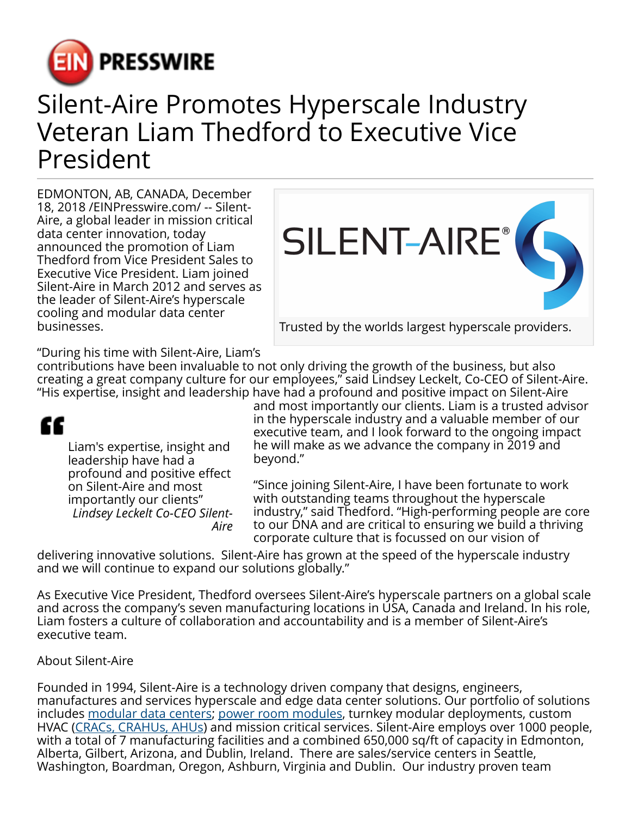

## Silent-Aire Promotes Hyperscale Industry Veteran Liam Thedford to Executive Vice President

EDMONTON, AB, CANADA, December 18, 2018 /[EINPresswire.com/](http://www.einpresswire.com) -- Silent-Aire, a global leader in mission critical data center innovation, today announced the promotion of Liam Thedford from Vice President Sales to Executive Vice President. Liam joined Silent-Aire in March 2012 and serves as the leader of Silent-Aire's hyperscale cooling and modular data center businesses.



Trusted by the worlds largest hyperscale providers.

"During his time with Silent-Aire, Liam's

contributions have been invaluable to not only driving the growth of the business, but also creating a great company culture for our employees," said Lindsey Leckelt, Co-CEO of Silent-Aire. "His expertise, insight and leadership have had a profound and positive impact on Silent-Aire



Liam's expertise, insight and leadership have had a profound and positive effect on Silent-Aire and most importantly our clients" *Lindsey Leckelt Co-CEO Silent-Aire*

and most importantly our clients. Liam is a trusted advisor in the hyperscale industry and a valuable member of our executive team, and I look forward to the ongoing impact he will make as we advance the company in 2019 and beyond."

"Since joining Silent-Aire, I have been fortunate to work with outstanding teams throughout the hyperscale industry," said Thedford. "High-performing people are core to our DNA and are critical to ensuring we build a thriving corporate culture that is focussed on our vision of

delivering innovative solutions. Silent-Aire has grown at the speed of the hyperscale industry and we will continue to expand our solutions globally."

As Executive Vice President, Thedford oversees Silent-Aire's hyperscale partners on a global scale and across the company's seven manufacturing locations in USA, Canada and Ireland. In his role, Liam fosters a culture of collaboration and accountability and is a member of Silent-Aire's executive team.

About Silent-Aire

Founded in 1994, Silent-Aire is a technology driven company that designs, engineers, manufactures and services hyperscale and edge data center solutions. Our portfolio of solutions includes [modular data centers;](http://www.silent-aire.com/mdc-vault/) [power room modules](https://www.silent-aire.com/case-study-data-center/), turnkey modular deployments, custom HVAC [\(CRACs, CRAHUs, AHUs\)](http://www.silent-aire.com/cracsandcrahu/) and mission critical services. Silent-Aire employs over 1000 people, with a total of 7 manufacturing facilities and a combined 650,000 sq/ft of capacity in Edmonton, Alberta, Gilbert, Arizona, and Dublin, Ireland. There are sales/service centers in Seattle, Washington, Boardman, Oregon, Ashburn, Virginia and Dublin. Our industry proven team